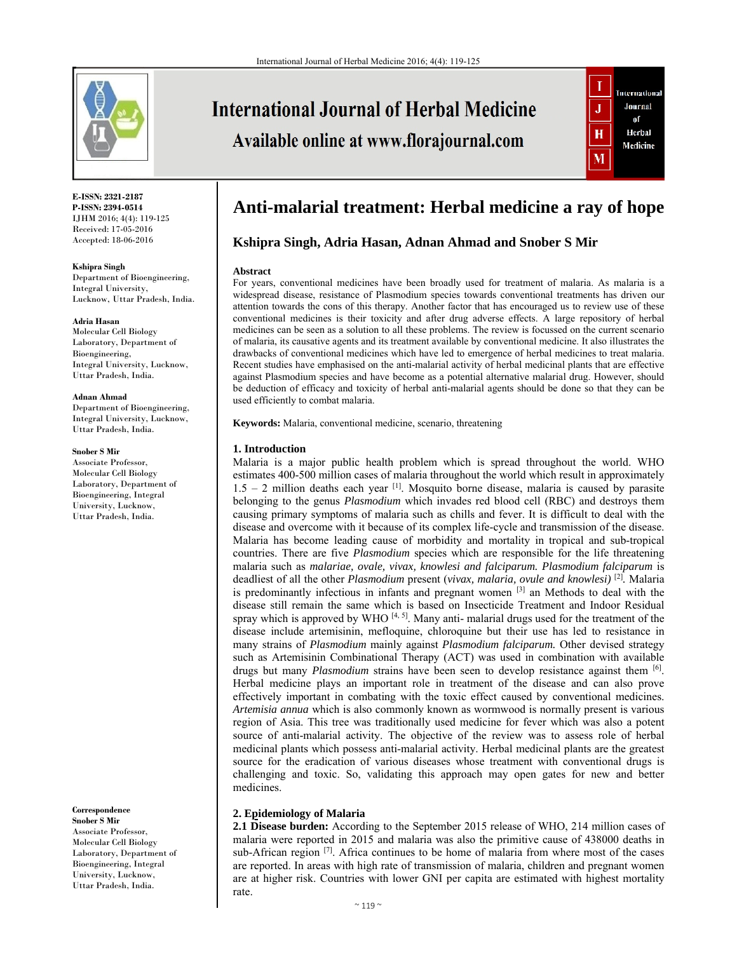

**International Journal of Herbal Medicine** 

Available online at www.florajournal.com



**E-ISSN: 2321-2187 P-ISSN: 2394-0514**  IJHM 2016; 4(4): 119-125 Received: 17-05-2016 Accepted: 18-06-2016

**Kshipra Singh** 

Department of Bioengineering, Integral University, Lucknow, Uttar Pradesh, India.

#### **Adria Hasan**

Molecular Cell Biology Laboratory, Department of Bioengineering, Integral University, Lucknow, Uttar Pradesh, India.

#### **Adnan Ahmad**

Department of Bioengineering, Integral University, Lucknow, Uttar Pradesh, India.

#### **Snober S Mir**

Associate Professor, Molecular Cell Biology Laboratory, Department of Bioengineering, Integral University, Lucknow, Uttar Pradesh, India.

**Correspondence**

**Snober S Mir** Associate Professor, Molecular Cell Biology Laboratory, Department of Bioengineering, Integral University, Lucknow, Uttar Pradesh, India.

# **Anti-malarial treatment: Herbal medicine a ray of hope**

## **Kshipra Singh, Adria Hasan, Adnan Ahmad and Snober S Mir**

#### **Abstract**

For years, conventional medicines have been broadly used for treatment of malaria. As malaria is a widespread disease, resistance of Plasmodium species towards conventional treatments has driven our attention towards the cons of this therapy. Another factor that has encouraged us to review use of these conventional medicines is their toxicity and after drug adverse effects. A large repository of herbal medicines can be seen as a solution to all these problems. The review is focussed on the current scenario of malaria, its causative agents and its treatment available by conventional medicine. It also illustrates the drawbacks of conventional medicines which have led to emergence of herbal medicines to treat malaria. Recent studies have emphasised on the anti-malarial activity of herbal medicinal plants that are effective against Plasmodium species and have become as a potential alternative malarial drug. However, should be deduction of efficacy and toxicity of herbal anti-malarial agents should be done so that they can be used efficiently to combat malaria.

**Keywords:** Malaria, conventional medicine, scenario, threatening

#### **1. Introduction**

Malaria is a major public health problem which is spread throughout the world. WHO estimates 400-500 million cases of malaria throughout the world which result in approximately  $1.5 - 2$  million deaths each year <sup>[1]</sup>. Mosquito borne disease, malaria is caused by parasite belonging to the genus *Plasmodium* which invades red blood cell (RBC) and destroys them causing primary symptoms of malaria such as chills and fever. It is difficult to deal with the disease and overcome with it because of its complex life-cycle and transmission of the disease. Malaria has become leading cause of morbidity and mortality in tropical and sub-tropical countries. There are five *Plasmodium* species which are responsible for the life threatening malaria such as *malariae, ovale, vivax, knowlesi and falciparum. Plasmodium falciparum* is deadliest of all the other *Plasmodium* present (*vivax, malaria, ovule and knowlesi)* [2]*.* Malaria is predominantly infectious in infants and pregnant women  $[3]$  an Methods to deal with the disease still remain the same which is based on Insecticide Treatment and Indoor Residual spray which is approved by WHO  $[4, 5]$ . Many anti- malarial drugs used for the treatment of the disease include artemisinin, mefloquine, chloroquine but their use has led to resistance in many strains of *Plasmodium* mainly against *Plasmodium falciparum.* Other devised strategy such as Artemisinin Combinational Therapy (ACT) was used in combination with available drugs but many *Plasmodium* strains have been seen to develop resistance against them [6]. Herbal medicine plays an important role in treatment of the disease and can also prove effectively important in combating with the toxic effect caused by conventional medicines. *Artemisia annua* which is also commonly known as wormwood is normally present is various region of Asia. This tree was traditionally used medicine for fever which was also a potent source of anti-malarial activity. The objective of the review was to assess role of herbal medicinal plants which possess anti-malarial activity. Herbal medicinal plants are the greatest source for the eradication of various diseases whose treatment with conventional drugs is challenging and toxic. So, validating this approach may open gates for new and better medicines.

## **2. Epidemiology of Malaria**

**2.1 Disease burden:** According to the September 2015 release of WHO, 214 million cases of malaria were reported in 2015 and malaria was also the primitive cause of 438000 deaths in sub-African region <sup>[7]</sup>. Africa continues to be home of malaria from where most of the cases are reported. In areas with high rate of transmission of malaria, children and pregnant women are at higher risk. Countries with lower GNI per capita are estimated with highest mortality rate.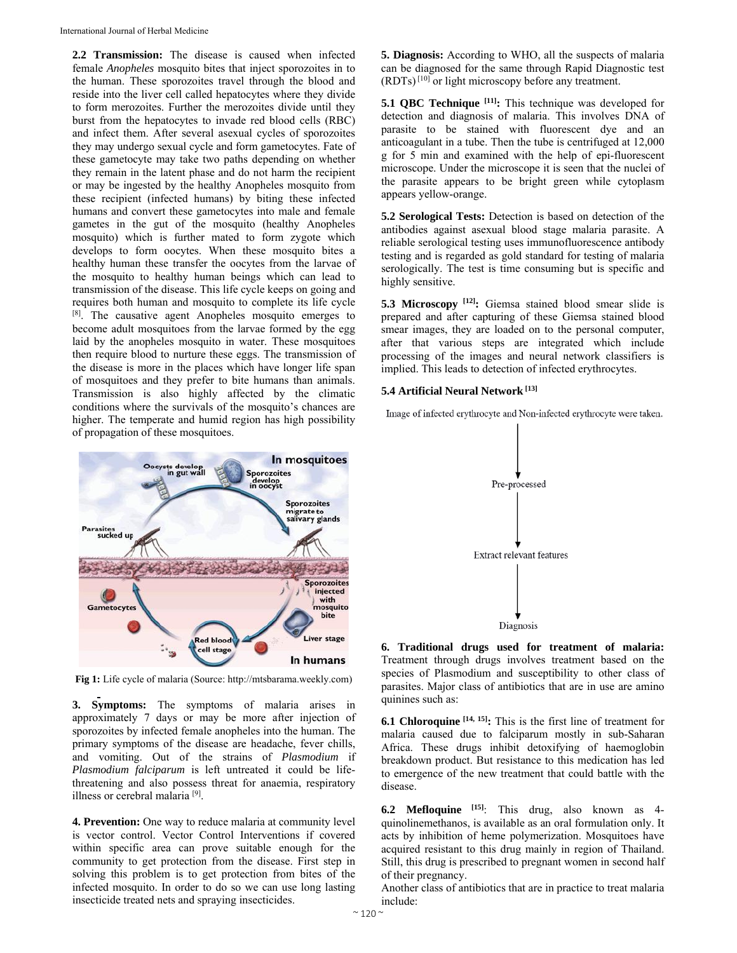**2.2 Transmission:** The disease is caused when infected female *Anopheles* mosquito bites that inject sporozoites in to the human. These sporozoites travel through the blood and reside into the liver cell called hepatocytes where they divide to form merozoites. Further the merozoites divide until they burst from the hepatocytes to invade red blood cells (RBC) and infect them. After several asexual cycles of sporozoites they may undergo sexual cycle and form gametocytes. Fate of these gametocyte may take two paths depending on whether they remain in the latent phase and do not harm the recipient or may be ingested by the healthy Anopheles mosquito from these recipient (infected humans) by biting these infected humans and convert these gametocytes into male and female gametes in the gut of the mosquito (healthy Anopheles mosquito) which is further mated to form zygote which develops to form oocytes. When these mosquito bites a healthy human these transfer the oocytes from the larvae of the mosquito to healthy human beings which can lead to transmission of the disease. This life cycle keeps on going and requires both human and mosquito to complete its life cycle [8]. The causative agent Anopheles mosquito emerges to become adult mosquitoes from the larvae formed by the egg laid by the anopheles mosquito in water. These mosquitoes then require blood to nurture these eggs. The transmission of the disease is more in the places which have longer life span of mosquitoes and they prefer to bite humans than animals. Transmission is also highly affected by the climatic conditions where the survivals of the mosquito's chances are higher. The temperate and humid region has high possibility of propagation of these mosquitoes.



**Fig 1:** Life cycle of malaria (Source: http://mtsbarama.weekly.com)

**3. Symptoms:** The symptoms of malaria arises in approximately 7 days or may be more after injection of sporozoites by infected female anopheles into the human. The primary symptoms of the disease are headache, fever chills, and vomiting. Out of the strains of *Plasmodium* if *Plasmodium falciparum* is left untreated it could be lifethreatening and also possess threat for anaemia, respiratory illness or cerebral malaria [9].

**4. Prevention:** One way to reduce malaria at community level is vector control. Vector Control Interventions if covered within specific area can prove suitable enough for the community to get protection from the disease. First step in solving this problem is to get protection from bites of the infected mosquito. In order to do so we can use long lasting insecticide treated nets and spraying insecticides.

**5. Diagnosis:** According to WHO, all the suspects of malaria can be diagnosed for the same through Rapid Diagnostic test (RDTs) [10] or light microscopy before any treatment.

**5.1 QBC Technique [11]:** This technique was developed for detection and diagnosis of malaria. This involves DNA of parasite to be stained with fluorescent dye and an anticoagulant in a tube. Then the tube is centrifuged at 12,000 g for 5 min and examined with the help of epi-fluorescent microscope. Under the microscope it is seen that the nuclei of the parasite appears to be bright green while cytoplasm appears yellow-orange.

**5.2 Serological Tests:** Detection is based on detection of the antibodies against asexual blood stage malaria parasite. A reliable serological testing uses immunofluorescence antibody testing and is regarded as gold standard for testing of malaria serologically. The test is time consuming but is specific and highly sensitive.

**5.3 Microscopy [12]:** Giemsa stained blood smear slide is prepared and after capturing of these Giemsa stained blood smear images, they are loaded on to the personal computer, after that various steps are integrated which include processing of the images and neural network classifiers is implied. This leads to detection of infected erythrocytes.

## **5.4 Artificial Neural Network [13]**

Image of infected erythrocyte and Non-infected erythrocyte were taken.



**6. Traditional drugs used for treatment of malaria:**  Treatment through drugs involves treatment based on the species of Plasmodium and susceptibility to other class of parasites. Major class of antibiotics that are in use are amino quinines such as:

**6.1 Chloroquine [14, 15]:** This is the first line of treatment for malaria caused due to falciparum mostly in sub-Saharan Africa. These drugs inhibit detoxifying of haemoglobin breakdown product. But resistance to this medication has led to emergence of the new treatment that could battle with the disease.

**6.2 Mefloquine [15]**: This drug, also known as 4 quinolinemethanos, is available as an oral formulation only. It acts by inhibition of heme polymerization. Mosquitoes have acquired resistant to this drug mainly in region of Thailand. Still, this drug is prescribed to pregnant women in second half of their pregnancy.

Another class of antibiotics that are in practice to treat malaria include: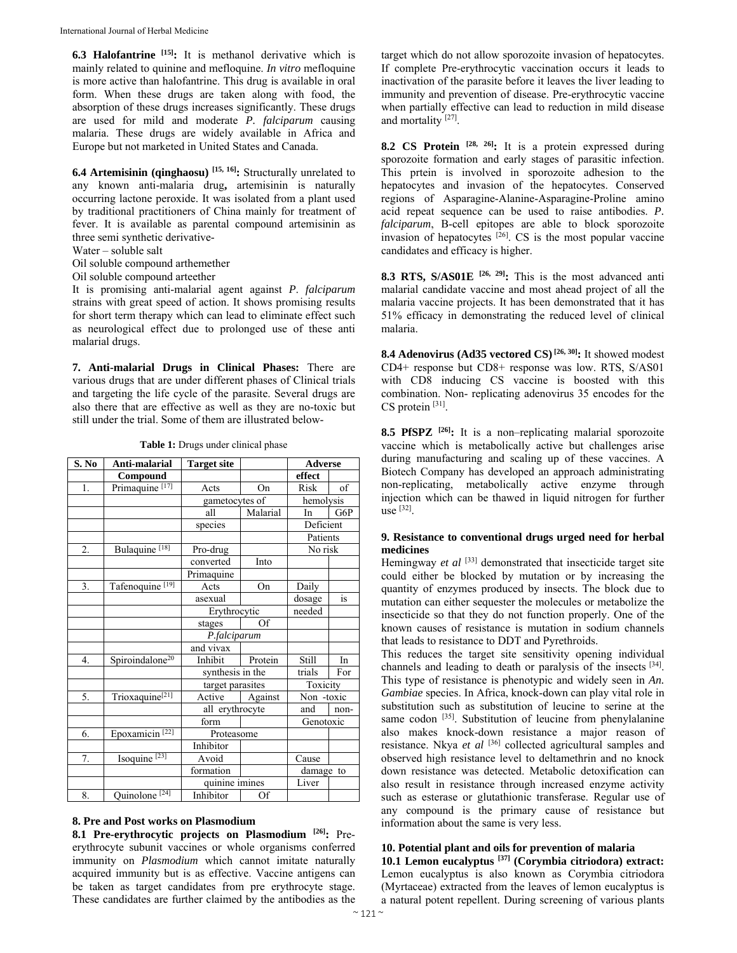**6.3 Halofantrine [15]:** It is methanol derivative which is mainly related to quinine and mefloquine. *In vitro* mefloquine is more active than halofantrine. This drug is available in oral form. When these drugs are taken along with food, the absorption of these drugs increases significantly. These drugs are used for mild and moderate *P. falciparum* causing malaria. These drugs are widely available in Africa and Europe but not marketed in United States and Canada.

**6.4 Artemisinin (qinghaosu) [15, 16]:** Structurally unrelated to any known anti-malaria drug**,** artemisinin is naturally occurring lactone peroxide. It was isolated from a plant used by traditional practitioners of China mainly for treatment of fever. It is available as parental compound artemisinin as three semi synthetic derivative-

Water – soluble salt

Oil soluble compound arthemether

Oil soluble compound arteether

It is promising anti-malarial agent against *P*. *falciparum* strains with great speed of action. It shows promising results for short term therapy which can lead to eliminate effect such as neurological effect due to prolonged use of these anti malarial drugs.

**7. Anti-malarial Drugs in Clinical Phases:** There are various drugs that are under different phases of Clinical trials and targeting the life cycle of the parasite. Several drugs are also there that are effective as well as they are no-toxic but still under the trial. Some of them are illustrated below-

| S. No | Anti-malarial               | <b>Target site</b> |           | <b>Adverse</b> |          |  |
|-------|-----------------------------|--------------------|-----------|----------------|----------|--|
|       | Compound                    |                    |           | effect         |          |  |
| 1.    | Primaquine <sup>[17]</sup>  | Acts               | On        | Risk           | of       |  |
|       |                             | gametocytes of     |           | hemolysis      |          |  |
|       |                             | all                | Malarial  | In             | G6P      |  |
|       |                             | species            |           | Deficient      |          |  |
|       |                             |                    |           |                | Patients |  |
| 2.    | Bulaquine <sup>[18]</sup>   | Pro-drug           |           | No risk        |          |  |
|       |                             | converted          | Into      |                |          |  |
|       |                             | Primaquine         |           |                |          |  |
| 3.    | Tafenoquine <sup>[19]</sup> | Acts               | On        | Daily          |          |  |
|       |                             | asexual            |           | dosage         | is       |  |
|       |                             | Erythrocytic       |           | needed         |          |  |
|       |                             | stages             | Of        |                |          |  |
|       |                             | P.falciparum       |           |                |          |  |
|       |                             | and vivax          |           |                |          |  |
| 4.    | Spiroindalone <sup>20</sup> | Inhibit            | Protein   | <b>Still</b>   | In       |  |
|       |                             | synthesis in the   |           | trials         | For      |  |
|       |                             | target parasites   |           | Toxicity       |          |  |
| 5.    | Trioxaquine <sup>[21]</sup> | Active             | Against   | Non -toxic     |          |  |
|       |                             | all erythrocyte    |           | and            | non-     |  |
|       |                             | form               |           | Genotoxic      |          |  |
| 6.    | Epoxamicin <sup>[22]</sup>  | Proteasome         |           |                |          |  |
|       |                             | Inhibitor          |           |                |          |  |
| 7.    | Isoquine $[23]$             | Avoid              |           | Cause          |          |  |
|       |                             | formation          | damage to |                |          |  |
|       |                             | quinine imines     |           | Liver          |          |  |
| 8.    | Quinolone <sup>[24]</sup>   | Inhibitor          | Of        |                |          |  |

**Table 1:** Drugs under clinical phase

## **8. Pre and Post works on Plasmodium**

**8.1 Pre-erythrocytic projects on Plasmodium [26]:** Preerythrocyte subunit vaccines or whole organisms conferred immunity on *Plasmodium* which cannot imitate naturally acquired immunity but is as effective. Vaccine antigens can be taken as target candidates from pre erythrocyte stage. These candidates are further claimed by the antibodies as the

target which do not allow sporozoite invasion of hepatocytes. If complete Pre-erythrocytic vaccination occurs it leads to inactivation of the parasite before it leaves the liver leading to immunity and prevention of disease. Pre-erythrocytic vaccine when partially effective can lead to reduction in mild disease and mortality<sup>[27]</sup>.

**8.2 CS Protein [28, 26]:** It is a protein expressed during sporozoite formation and early stages of parasitic infection. This prtein is involved in sporozoite adhesion to the hepatocytes and invasion of the hepatocytes. Conserved regions of Asparagine-Alanine-Asparagine-Proline amino acid repeat sequence can be used to raise antibodies. *P. falciparum*, B-cell epitopes are able to block sporozoite invasion of hepatocytes  $[26]$ . CS is the most popular vaccine candidates and efficacy is higher.

**8.3 RTS, S/AS01E [26, 29]:** This is the most advanced anti malarial candidate vaccine and most ahead project of all the malaria vaccine projects. It has been demonstrated that it has 51% efficacy in demonstrating the reduced level of clinical malaria.

**8.4 Adenovirus (Ad35 vectored CS) [26, 30]:** It showed modest CD4+ response but CD8+ response was low. RTS, S/AS01 with CD8 inducing CS vaccine is boosted with this combination. Non- replicating adenovirus 35 encodes for the CS protein [31].

**8.5 PfSPZ [26]:** It is a non–replicating malarial sporozoite vaccine which is metabolically active but challenges arise during manufacturing and scaling up of these vaccines. A Biotech Company has developed an approach administrating non-replicating, metabolically active enzyme through injection which can be thawed in liquid nitrogen for further use [32].

## **9. Resistance to conventional drugs urged need for herbal medicines**

Hemingway *et al* [33] demonstrated that insecticide target site could either be blocked by mutation or by increasing the quantity of enzymes produced by insects. The block due to mutation can either sequester the molecules or metabolize the insecticide so that they do not function properly. One of the known causes of resistance is mutation in sodium channels that leads to resistance to DDT and Pyrethroids.

This reduces the target site sensitivity opening individual channels and leading to death or paralysis of the insects [34]. This type of resistance is phenotypic and widely seen in *An. Gambiae* species. In Africa, knock-down can play vital role in substitution such as substitution of leucine to serine at the same codon [35]. Substitution of leucine from phenylalanine also makes knock-down resistance a major reason of resistance. Nkya *et al* [36] collected agricultural samples and observed high resistance level to deltamethrin and no knock down resistance was detected. Metabolic detoxification can also result in resistance through increased enzyme activity such as esterase or glutathionic transferase. Regular use of any compound is the primary cause of resistance but information about the same is very less.

# **10. Potential plant and oils for prevention of malaria**

**10.1 Lemon eucalyptus [37] (Corymbia citriodora) extract:** Lemon eucalyptus is also known as Corymbia citriodora (Myrtaceae) extracted from the leaves of lemon eucalyptus is a natural potent repellent. During screening of various plants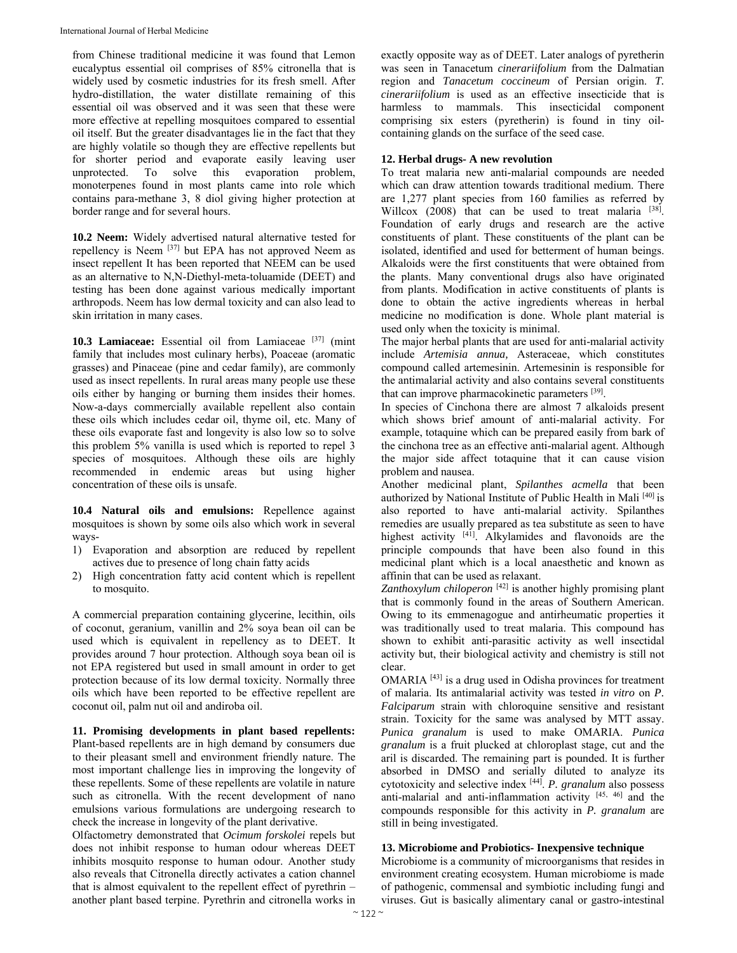from Chinese traditional medicine it was found that Lemon eucalyptus essential oil comprises of 85% citronella that is widely used by cosmetic industries for its fresh smell. After hydro-distillation, the water distillate remaining of this essential oil was observed and it was seen that these were more effective at repelling mosquitoes compared to essential oil itself. But the greater disadvantages lie in the fact that they are highly volatile so though they are effective repellents but for shorter period and evaporate easily leaving user unprotected. To solve this evaporation problem, monoterpenes found in most plants came into role which contains para-methane 3, 8 diol giving higher protection at border range and for several hours.

**10.2 Neem:** Widely advertised natural alternative tested for repellency is Neem [37] but EPA has not approved Neem as insect repellent It has been reported that NEEM can be used as an alternative to N,N-Diethyl-meta-toluamide (DEET) and testing has been done against various medically important arthropods. Neem has low dermal toxicity and can also lead to skin irritation in many cases.

**10.3 Lamiaceae:** Essential oil from Lamiaceae [37] (mint family that includes most culinary herbs), Poaceae (aromatic grasses) and Pinaceae (pine and cedar family), are commonly used as insect repellents. In rural areas many people use these oils either by hanging or burning them insides their homes. Now-a-days commercially available repellent also contain these oils which includes cedar oil, thyme oil, etc. Many of these oils evaporate fast and longevity is also low so to solve this problem 5% vanilla is used which is reported to repel 3 species of mosquitoes. Although these oils are highly recommended in endemic areas but using higher concentration of these oils is unsafe.

**10.4 Natural oils and emulsions:** Repellence against mosquitoes is shown by some oils also which work in several ways-

- 1) Evaporation and absorption are reduced by repellent actives due to presence of long chain fatty acids
- 2) High concentration fatty acid content which is repellent to mosquito.

A commercial preparation containing glycerine, lecithin, oils of coconut, geranium, vanillin and 2% soya bean oil can be used which is equivalent in repellency as to DEET. It provides around 7 hour protection. Although soya bean oil is not EPA registered but used in small amount in order to get protection because of its low dermal toxicity. Normally three oils which have been reported to be effective repellent are coconut oil, palm nut oil and andiroba oil.

**11. Promising developments in plant based repellents:** Plant-based repellents are in high demand by consumers due to their pleasant smell and environment friendly nature. The most important challenge lies in improving the longevity of these repellents. Some of these repellents are volatile in nature such as citronella. With the recent development of nano emulsions various formulations are undergoing research to check the increase in longevity of the plant derivative.

Olfactometry demonstrated that *Ocimum forskolei* repels but does not inhibit response to human odour whereas DEET inhibits mosquito response to human odour. Another study also reveals that Citronella directly activates a cation channel that is almost equivalent to the repellent effect of pyrethrin – another plant based terpine. Pyrethrin and citronella works in

exactly opposite way as of DEET. Later analogs of pyretherin was seen in Tanacetum *cinerariifolium* from the Dalmatian region and *Tanacetum coccineum* of Persian origin. *T. cinerariifolium* is used as an effective insecticide that is harmless to mammals. This insecticidal component comprising six esters (pyretherin) is found in tiny oilcontaining glands on the surface of the seed case.

## **12. Herbal drugs- A new revolution**

To treat malaria new anti-malarial compounds are needed which can draw attention towards traditional medium. There are 1,277 plant species from 160 families as referred by Willcox  $(2008)$  that can be used to treat malaria  $[38]$ . Foundation of early drugs and research are the active constituents of plant. These constituents of the plant can be isolated, identified and used for betterment of human beings. Alkaloids were the first constituents that were obtained from the plants. Many conventional drugs also have originated from plants. Modification in active constituents of plants is done to obtain the active ingredients whereas in herbal medicine no modification is done. Whole plant material is used only when the toxicity is minimal.

The major herbal plants that are used for anti-malarial activity include *Artemisia annua,* Asteraceae, which constitutes compound called artemesinin. Artemesinin is responsible for the antimalarial activity and also contains several constituents that can improve pharmacokinetic parameters [39].

In species of Cinchona there are almost 7 alkaloids present which shows brief amount of anti-malarial activity. For example, totaquine which can be prepared easily from bark of the cinchona tree as an effective anti-malarial agent. Although the major side affect totaquine that it can cause vision problem and nausea.

Another medicinal plant, *Spilanthes acmella* that been authorized by National Institute of Public Health in Mali [40] is also reported to have anti-malarial activity. Spilanthes remedies are usually prepared as tea substitute as seen to have highest activity [41]. Alkylamides and flavonoids are the principle compounds that have been also found in this medicinal plant which is a local anaesthetic and known as affinin that can be used as relaxant.

*Zanthoxylum chiloperon* [42] is another highly promising plant that is commonly found in the areas of Southern American. Owing to its emmenagogue and antirheumatic properties it was traditionally used to treat malaria. This compound has shown to exhibit anti-parasitic activity as well insectidal activity but, their biological activity and chemistry is still not clear.

OMARIA [43] is a drug used in Odisha provinces for treatment of malaria. Its antimalarial activity was tested *in vitro* on *P. Falciparum* strain with chloroquine sensitive and resistant strain. Toxicity for the same was analysed by MTT assay. *Punica granalum* is used to make OMARIA. *Punica granalum* is a fruit plucked at chloroplast stage, cut and the aril is discarded. The remaining part is pounded. It is further absorbed in DMSO and serially diluted to analyze its cytotoxicity and selective index [44]. *P. granalum* also possess anti-malarial and anti-inflammation activity [45, 46] and the compounds responsible for this activity in *P. granalum* are still in being investigated.

## **13. Microbiome and Probiotics- Inexpensive technique**

Microbiome is a community of microorganisms that resides in environment creating ecosystem. Human microbiome is made of pathogenic, commensal and symbiotic including fungi and viruses. Gut is basically alimentary canal or gastro-intestinal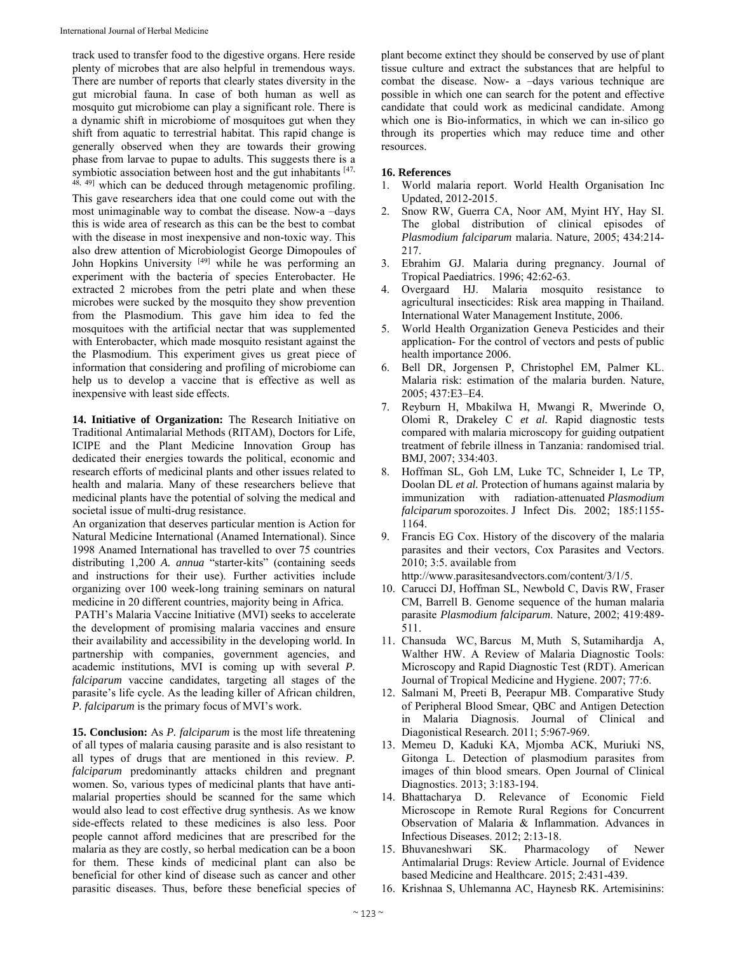track used to transfer food to the digestive organs. Here reside plenty of microbes that are also helpful in tremendous ways. There are number of reports that clearly states diversity in the gut microbial fauna. In case of both human as well as mosquito gut microbiome can play a significant role. There is a dynamic shift in microbiome of mosquitoes gut when they shift from aquatic to terrestrial habitat. This rapid change is generally observed when they are towards their growing phase from larvae to pupae to adults. This suggests there is a symbiotic association between host and the gut inhabitants  $[47, 6]$ 48, 49] which can be deduced through metagenomic profiling. This gave researchers idea that one could come out with the most unimaginable way to combat the disease. Now-a –days this is wide area of research as this can be the best to combat with the disease in most inexpensive and non-toxic way. This also drew attention of Microbiologist George Dimopoules of John Hopkins University [49] while he was performing an experiment with the bacteria of species Enterobacter. He extracted 2 microbes from the petri plate and when these microbes were sucked by the mosquito they show prevention from the Plasmodium. This gave him idea to fed the mosquitoes with the artificial nectar that was supplemented with Enterobacter, which made mosquito resistant against the the Plasmodium. This experiment gives us great piece of information that considering and profiling of microbiome can help us to develop a vaccine that is effective as well as inexpensive with least side effects.

**14. Initiative of Organization:** The Research Initiative on Traditional Antimalarial Methods (RITAM), Doctors for Life, ICIPE and the Plant Medicine Innovation Group has dedicated their energies towards the political, economic and research efforts of medicinal plants and other issues related to health and malaria. Many of these researchers believe that medicinal plants have the potential of solving the medical and societal issue of multi-drug resistance.

An organization that deserves particular mention is Action for Natural Medicine International (Anamed International). Since 1998 Anamed International has travelled to over 75 countries distributing 1,200 *A. annua* "starter-kits" (containing seeds and instructions for their use). Further activities include organizing over 100 week-long training seminars on natural medicine in 20 different countries, majority being in Africa.

 PATH's Malaria Vaccine Initiative (MVI) seeks to accelerate the development of promising malaria vaccines and ensure their availability and accessibility in the developing world. In partnership with companies, government agencies, and academic institutions, MVI is coming up with several *P. falciparum* vaccine candidates, targeting all stages of the parasite's life cycle. As the leading killer of African children, *P. falciparum* is the primary focus of MVI's work.

**15. Conclusion:** As *P. falciparum* is the most life threatening of all types of malaria causing parasite and is also resistant to all types of drugs that are mentioned in this review. *P. falciparum* predominantly attacks children and pregnant women. So, various types of medicinal plants that have antimalarial properties should be scanned for the same which would also lead to cost effective drug synthesis. As we know side-effects related to these medicines is also less. Poor people cannot afford medicines that are prescribed for the malaria as they are costly, so herbal medication can be a boon for them. These kinds of medicinal plant can also be beneficial for other kind of disease such as cancer and other parasitic diseases. Thus, before these beneficial species of plant become extinct they should be conserved by use of plant tissue culture and extract the substances that are helpful to combat the disease. Now- a –days various technique are possible in which one can search for the potent and effective candidate that could work as medicinal candidate. Among which one is Bio-informatics, in which we can in-silico go through its properties which may reduce time and other resources.

## **16. References**

- 1. World malaria report. World Health Organisation Inc Updated, 2012-2015.
- 2. Snow RW, Guerra CA, Noor AM, Myint HY, Hay SI. The global distribution of clinical episodes of *Plasmodium falciparum* malaria. Nature, 2005; 434:214- 217.
- 3. Ebrahim GJ. Malaria during pregnancy. Journal of Tropical Paediatrics. 1996; 42:62-63.
- 4. Overgaard HJ. Malaria mosquito resistance to agricultural insecticides: Risk area mapping in Thailand. International Water Management Institute, 2006.
- 5. World Health Organization Geneva Pesticides and their application- For the control of vectors and pests of public health importance 2006.
- 6. Bell DR, Jorgensen P, Christophel EM, Palmer KL. Malaria risk: estimation of the malaria burden. Nature, 2005; 437:E3–E4.
- 7. Reyburn H, Mbakilwa H, Mwangi R, Mwerinde O, Olomi R, Drakeley C *et al.* Rapid diagnostic tests compared with malaria microscopy for guiding outpatient treatment of febrile illness in Tanzania: randomised trial. BMJ, 2007; 334:403.
- 8. Hoffman SL, Goh LM, Luke TC, Schneider I, Le TP, Doolan DL *et al.* Protection of humans against malaria by immunization with radiation-attenuated *Plasmodium falciparum* sporozoites. J Infect Dis. 2002; 185:1155- 1164.
- 9. Francis EG Cox. History of the discovery of the malaria parasites and their vectors, Cox Parasites and Vectors. 2010; 3:5. available from http://www.parasitesandvectors.com/content/3/1/5.
- 10. Carucci DJ, Hoffman SL, Newbold C, Davis RW, Fraser CM, Barrell B. Genome sequence of the human malaria parasite *Plasmodium falciparum*. Nature, 2002; 419:489- 511.
- 11. Chansuda WC, Barcus M, Muth S, Sutamihardja A, Walther HW. A Review of Malaria Diagnostic Tools: Microscopy and Rapid Diagnostic Test (RDT). American Journal of Tropical Medicine and Hygiene. 2007; 77:6.
- 12. Salmani M, Preeti B, Peerapur MB. Comparative Study of Peripheral Blood Smear, QBC and Antigen Detection in Malaria Diagnosis. Journal of Clinical and Diagonistical Research. 2011; 5:967-969.
- 13. Memeu D, Kaduki KA, Mjomba ACK, Muriuki NS, Gitonga L. Detection of plasmodium parasites from images of thin blood smears. Open Journal of Clinical Diagnostics. 2013; 3:183-194.
- 14. Bhattacharya D. Relevance of Economic Field Microscope in Remote Rural Regions for Concurrent Observation of Malaria & Inflammation. Advances in Infectious Diseases. 2012; 2:13-18.
- 15. Bhuvaneshwari SK. Pharmacology of Newer Antimalarial Drugs: Review Article. Journal of Evidence based Medicine and Healthcare. 2015; 2:431-439.
- 16. Krishnaa S, Uhlemanna AC, Haynesb RK. Artemisinins: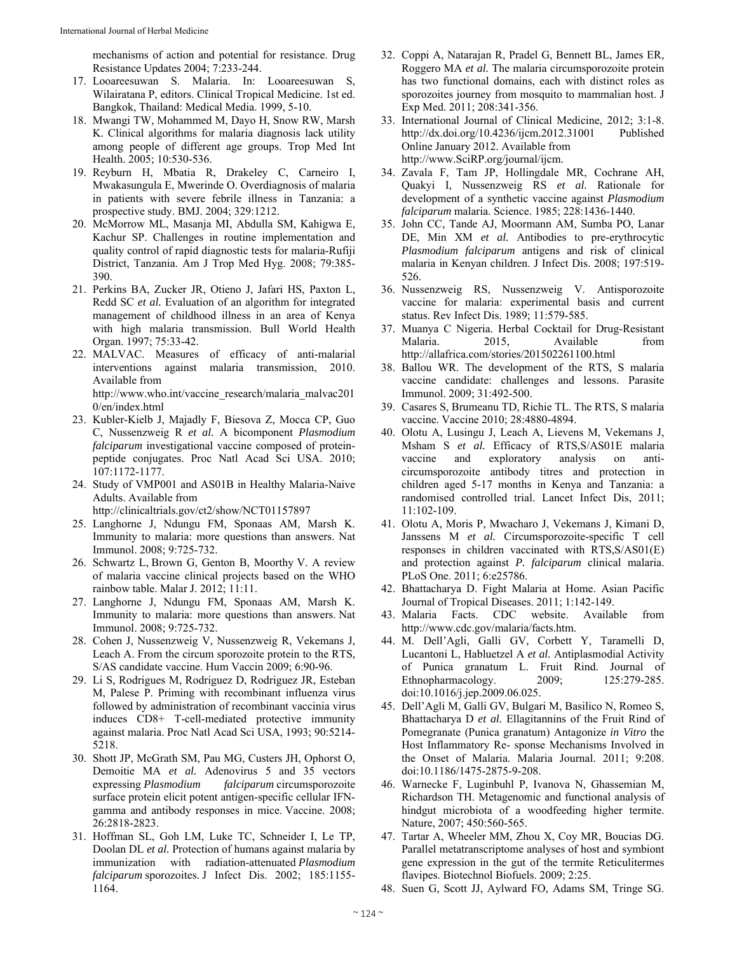mechanisms of action and potential for resistance. Drug Resistance Updates 2004; 7:233-244.

- 17. Looareesuwan S. Malaria. In: Looareesuwan S, Wilairatana P, editors. Clinical Tropical Medicine. 1st ed. Bangkok, Thailand: Medical Media. 1999, 5-10.
- 18. Mwangi TW, Mohammed M, Dayo H, Snow RW, Marsh K. Clinical algorithms for malaria diagnosis lack utility among people of different age groups. Trop Med Int Health. 2005; 10:530-536.
- 19. Reyburn H, Mbatia R, Drakeley C, Carneiro I, Mwakasungula E, Mwerinde O. Overdiagnosis of malaria in patients with severe febrile illness in Tanzania: a prospective study. BMJ. 2004; 329:1212.
- 20. McMorrow ML, Masanja MI, Abdulla SM, Kahigwa E, Kachur SP. Challenges in routine implementation and quality control of rapid diagnostic tests for malaria-Rufiji District, Tanzania. Am J Trop Med Hyg. 2008; 79:385- 390.
- 21. Perkins BA, Zucker JR, Otieno J, Jafari HS, Paxton L, Redd SC *et al.* Evaluation of an algorithm for integrated management of childhood illness in an area of Kenya with high malaria transmission. Bull World Health Organ. 1997; 75:33-42.
- 22. MALVAC. Measures of efficacy of anti-malarial interventions against malaria transmission, 2010. Available from http://www.who.int/vaccine\_research/malaria\_malvac201 0/en/index.html
- 23. Kubler-Kielb J, Majadly F, Biesova Z, Mocca CP, Guo C, Nussenzweig R *et al.* A bicomponent *Plasmodium falciparum* investigational vaccine composed of proteinpeptide conjugates. Proc Natl Acad Sci USA. 2010; 107:1172-1177.
- 24. Study of VMP001 and AS01B in Healthy Malaria-Naive Adults. Available from

http://clinicaltrials.gov/ct2/show/NCT01157897

- 25. Langhorne J, Ndungu FM, Sponaas AM, Marsh K. Immunity to malaria: more questions than answers. Nat Immunol. 2008; 9:725-732.
- 26. Schwartz L, Brown G, Genton B, Moorthy V. A review of malaria vaccine clinical projects based on the WHO rainbow table. Malar J. 2012; 11:11.
- 27. Langhorne J, Ndungu FM, Sponaas AM, Marsh K. Immunity to malaria: more questions than answers. Nat Immunol. 2008; 9:725-732.
- 28. Cohen J, Nussenzweig V, Nussenzweig R, Vekemans J, Leach A. From the circum sporozoite protein to the RTS, S/AS candidate vaccine. Hum Vaccin 2009; 6:90-96.
- 29. Li S, Rodrigues M, Rodriguez D, Rodriguez JR, Esteban M, Palese P. Priming with recombinant influenza virus followed by administration of recombinant vaccinia virus induces CD8+ T-cell-mediated protective immunity against malaria. Proc Natl Acad Sci USA, 1993; 90:5214- 5218.
- 30. Shott JP, McGrath SM, Pau MG, Custers JH, Ophorst O, Demoitie MA *et al.* Adenovirus 5 and 35 vectors expressing *Plasmodium falciparum* circumsporozoite surface protein elicit potent antigen-specific cellular IFNgamma and antibody responses in mice. Vaccine. 2008; 26:2818-2823.
- 31. Hoffman SL, Goh LM, Luke TC, Schneider I, Le TP, Doolan DL *et al.* Protection of humans against malaria by immunization with radiation-attenuated *Plasmodium falciparum* sporozoites. J Infect Dis. 2002; 185:1155- 1164.
- 32. Coppi A, Natarajan R, Pradel G, Bennett BL, James ER, Roggero MA *et al.* The malaria circumsporozoite protein has two functional domains, each with distinct roles as sporozoites journey from mosquito to mammalian host. J Exp Med. 2011; 208:341-356.
- 33. International Journal of Clinical Medicine, 2012; 3:1-8. http://dx.doi.org/10.4236/ijcm.2012.31001 Published Online January 2012. Available from http://www.SciRP.org/journal/ijcm.
- 34. Zavala F, Tam JP, Hollingdale MR, Cochrane AH, Quakyi I, Nussenzweig RS *et al.* Rationale for development of a synthetic vaccine against *Plasmodium falciparum* malaria. Science. 1985; 228:1436-1440.
- 35. John CC, Tande AJ, Moormann AM, Sumba PO, Lanar DE, Min XM *et al.* Antibodies to pre-erythrocytic *Plasmodium falciparum* antigens and risk of clinical malaria in Kenyan children. J Infect Dis. 2008; 197:519- 526.
- 36. Nussenzweig RS, Nussenzweig V. Antisporozoite vaccine for malaria: experimental basis and current status. Rev Infect Dis. 1989; 11:579-585.
- 37. Muanya C Nigeria. Herbal Cocktail for Drug-Resistant Malaria. 2015, Available from http://allafrica.com/stories/201502261100.html
- 38. Ballou WR. The development of the RTS, S malaria vaccine candidate: challenges and lessons. Parasite Immunol. 2009; 31:492-500.
- 39. Casares S, Brumeanu TD, Richie TL. The RTS, S malaria vaccine. Vaccine 2010; 28:4880-4894.
- 40. Olotu A, Lusingu J, Leach A, Lievens M, Vekemans J, Msham S *et al.* Efficacy of RTS,S/AS01E malaria vaccine and exploratory analysis on anticircumsporozoite antibody titres and protection in children aged 5-17 months in Kenya and Tanzania: a randomised controlled trial. Lancet Infect Dis, 2011; 11:102-109.
- 41. Olotu A, Moris P, Mwacharo J, Vekemans J, Kimani D, Janssens M *et al.* Circumsporozoite-specific T cell responses in children vaccinated with RTS,S/AS01(E) and protection against *P. falciparum* clinical malaria. PLoS One. 2011; 6:e25786.
- 42. Bhattacharya D. Fight Malaria at Home. Asian Pacific Journal of Tropical Diseases. 2011; 1:142-149.
- 43. Malaria Facts. CDC website. Available from http://www.cdc.gov/malaria/facts.htm.
- 44. M. Dell'Agli, Galli GV, Corbett Y, Taramelli D, Lucantoni L, Habluetzel A *et al.* Antiplasmodial Activity of Punica granatum L. Fruit Rind. Journal of Ethnopharmacology. 2009; 125:279-285. doi:10.1016/j.jep.2009.06.025.
- 45. Dell'Agli M, Galli GV, Bulgari M, Basilico N, Romeo S, Bhattacharya D *et al.* Ellagitannins of the Fruit Rind of Pomegranate (Punica granatum) Antagonize *in Vitro* the Host Inflammatory Re- sponse Mechanisms Involved in the Onset of Malaria. Malaria Journal. 2011; 9:208. doi:10.1186/1475-2875-9-208.
- 46. Warnecke F, Luginbuhl P, Ivanova N, Ghassemian M, Richardson TH. Metagenomic and functional analysis of hindgut microbiota of a woodfeeding higher termite. Nature, 2007; 450:560-565.
- 47. Tartar A, Wheeler MM, Zhou X, Coy MR, Boucias DG. Parallel metatranscriptome analyses of host and symbiont gene expression in the gut of the termite Reticulitermes flavipes. Biotechnol Biofuels. 2009; 2:25.
- 48. Suen G, Scott JJ, Aylward FO, Adams SM, Tringe SG.